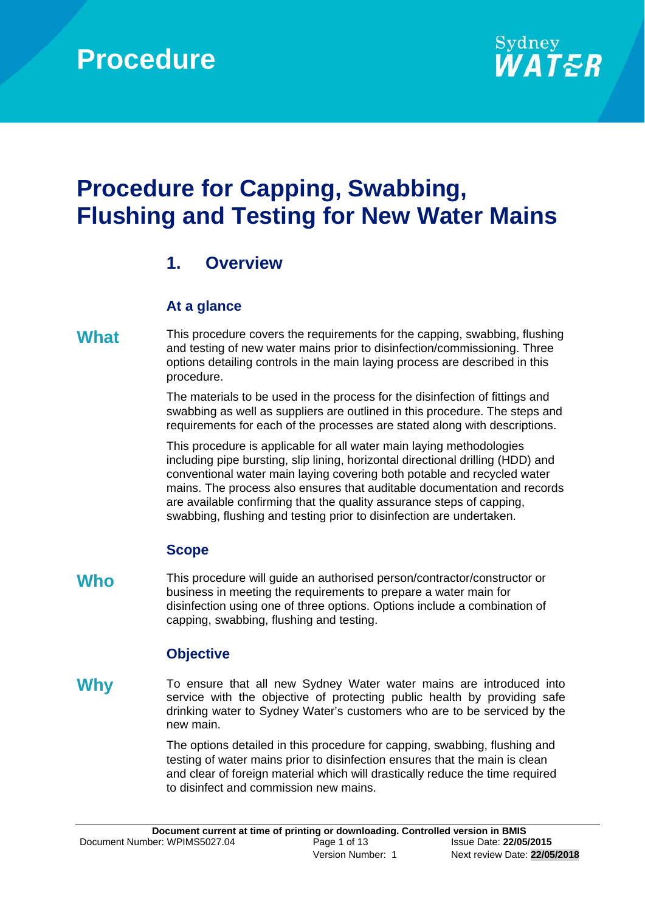

# **Procedure for Capping, Swabbing, Flushing and Testing for New Water Mains**

# **1. Overview**

### **At a glance**

**What** This procedure covers the requirements for the capping, swabbing, flushing and testing of new water mains prior to disinfection/commissioning. Three options detailing controls in the main laying process are described in this procedure.

> The materials to be used in the process for the disinfection of fittings and swabbing as well as suppliers are outlined in this procedure. The steps and requirements for each of the processes are stated along with descriptions.

> This procedure is applicable for all water main laying methodologies including pipe bursting, slip lining, horizontal directional drilling (HDD) and conventional water main laying covering both potable and recycled water mains. The process also ensures that auditable documentation and records are available confirming that the quality assurance steps of capping, swabbing, flushing and testing prior to disinfection are undertaken.

### **Scope**

Who **This procedure will guide an authorised person/contractor/constructor or** business in meeting the requirements to prepare a water main for disinfection using one of three options. Options include a combination of capping, swabbing, flushing and testing.

### **Objective**

**Why** To ensure that all new Sydney Water water mains are introduced into service with the objective of protecting public health by providing safe drinking water to Sydney Water's customers who are to be serviced by the new main.

> The options detailed in this procedure for capping, swabbing, flushing and testing of water mains prior to disinfection ensures that the main is clean and clear of foreign material which will drastically reduce the time required to disinfect and commission new mains.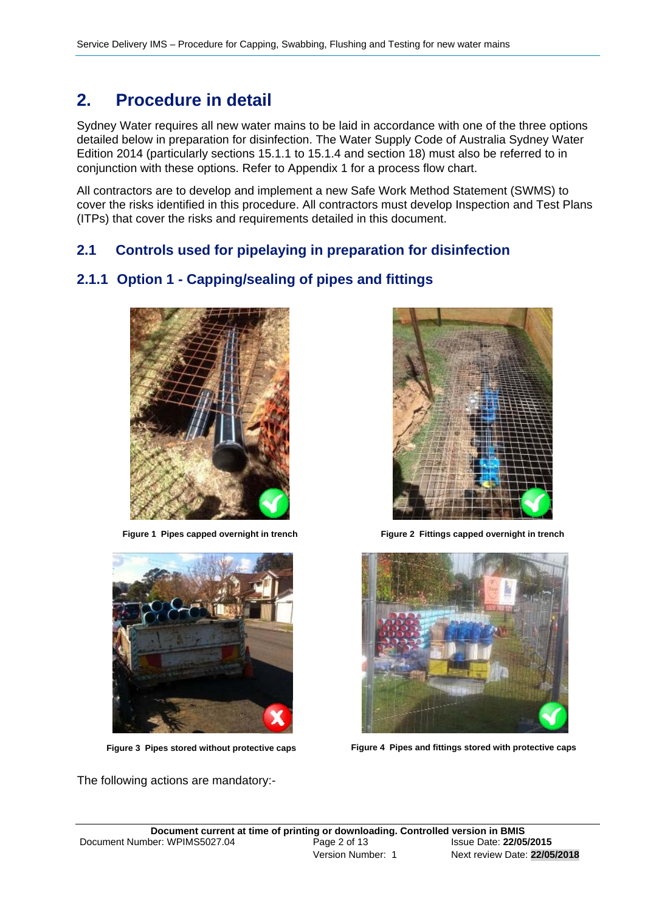# **2. Procedure in detail**

Sydney Water requires all new water mains to be laid in accordance with one of the three options detailed below in preparation for disinfection. The Water Supply Code of Australia Sydney Water Edition 2014 (particularly sections 15.1.1 to 15.1.4 and section 18) must also be referred to in conjunction with these options. Refer to Appendix 1 for a process flow chart.

All contractors are to develop and implement a new Safe Work Method Statement (SWMS) to cover the risks identified in this procedure. All contractors must develop Inspection and Test Plans (ITPs) that cover the risks and requirements detailed in this document.

### **2.1 Controls used for pipelaying in preparation for disinfection**

### **2.1.1 Option 1 - Capping/sealing of pipes and fittings**





The following actions are mandatory:-



**Figure 1 Pipes capped overnight in trench Figure 2 Fittings capped overnight in trench**



**Figure 3 Pipes stored without protective caps Figure 4 Pipes and fittings stored with protective caps**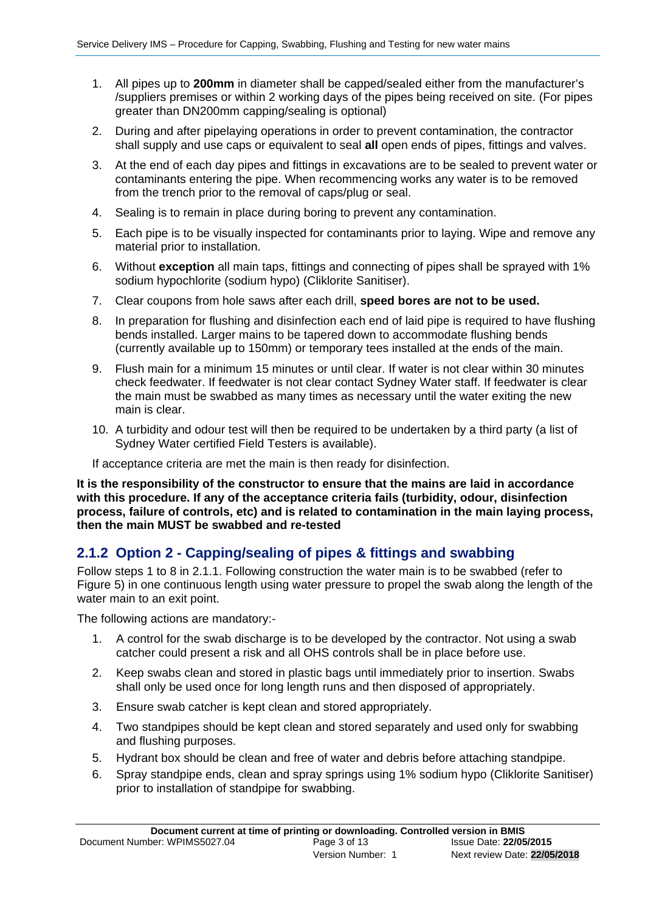- 1. All pipes up to **200mm** in diameter shall be capped/sealed either from the manufacturer's /suppliers premises or within 2 working days of the pipes being received on site. (For pipes greater than DN200mm capping/sealing is optional)
- 2. During and after pipelaying operations in order to prevent contamination, the contractor shall supply and use caps or equivalent to seal **all** open ends of pipes, fittings and valves.
- 3. At the end of each day pipes and fittings in excavations are to be sealed to prevent water or contaminants entering the pipe. When recommencing works any water is to be removed from the trench prior to the removal of caps/plug or seal.
- 4. Sealing is to remain in place during boring to prevent any contamination.
- 5. Each pipe is to be visually inspected for contaminants prior to laying. Wipe and remove any material prior to installation.
- 6. Without **exception** all main taps, fittings and connecting of pipes shall be sprayed with 1% sodium hypochlorite (sodium hypo) (Cliklorite Sanitiser).
- 7. Clear coupons from hole saws after each drill, **speed bores are not to be used.**
- 8. In preparation for flushing and disinfection each end of laid pipe is required to have flushing bends installed. Larger mains to be tapered down to accommodate flushing bends (currently available up to 150mm) or temporary tees installed at the ends of the main.
- 9. Flush main for a minimum 15 minutes or until clear. If water is not clear within 30 minutes check feedwater. If feedwater is not clear contact Sydney Water staff. If feedwater is clear the main must be swabbed as many times as necessary until the water exiting the new main is clear.
- 10. A turbidity and odour test will then be required to be undertaken by a third party (a list of Sydney Water certified Field Testers is available).
- If acceptance criteria are met the main is then ready for disinfection.

**It is the responsibility of the constructor to ensure that the mains are laid in accordance with this procedure. If any of the acceptance criteria fails (turbidity, odour, disinfection process, failure of controls, etc) and is related to contamination in the main laying process, then the main MUST be swabbed and re-tested**

### **2.1.2 Option 2 - Capping/sealing of pipes & fittings and swabbing**

Follow steps 1 to 8 in 2.1.1. Following construction the water main is to be swabbed (refer to Figure 5) in one continuous length using water pressure to propel the swab along the length of the water main to an exit point.

The following actions are mandatory:-

- 1. A control for the swab discharge is to be developed by the contractor. Not using a swab catcher could present a risk and all OHS controls shall be in place before use.
- 2. Keep swabs clean and stored in plastic bags until immediately prior to insertion. Swabs shall only be used once for long length runs and then disposed of appropriately.
- 3. Ensure swab catcher is kept clean and stored appropriately.
- 4. Two standpipes should be kept clean and stored separately and used only for swabbing and flushing purposes.
- 5. Hydrant box should be clean and free of water and debris before attaching standpipe.
- 6. Spray standpipe ends, clean and spray springs using 1% sodium hypo (Cliklorite Sanitiser) prior to installation of standpipe for swabbing.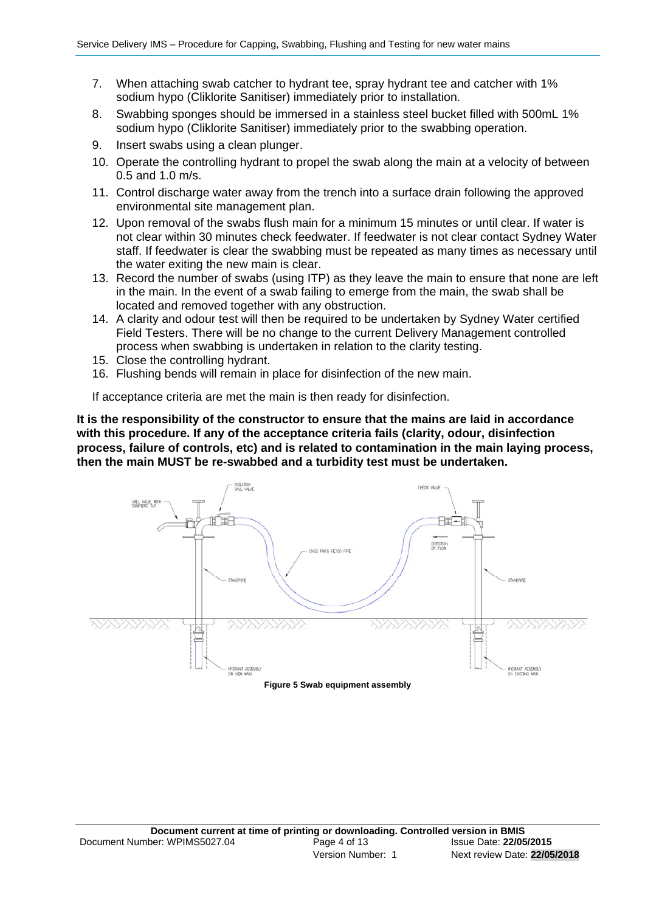- 7. When attaching swab catcher to hydrant tee, spray hydrant tee and catcher with 1% sodium hypo (Cliklorite Sanitiser) immediately prior to installation.
- 8. Swabbing sponges should be immersed in a stainless steel bucket filled with 500mL 1% sodium hypo (Cliklorite Sanitiser) immediately prior to the swabbing operation.
- 9. Insert swabs using a clean plunger.
- 10. Operate the controlling hydrant to propel the swab along the main at a velocity of between 0.5 and 1.0 m/s.
- 11. Control discharge water away from the trench into a surface drain following the approved environmental site management plan.
- 12. Upon removal of the swabs flush main for a minimum 15 minutes or until clear. If water is not clear within 30 minutes check feedwater. If feedwater is not clear contact Sydney Water staff. If feedwater is clear the swabbing must be repeated as many times as necessary until the water exiting the new main is clear.
- 13. Record the number of swabs (using ITP) as they leave the main to ensure that none are left in the main. In the event of a swab failing to emerge from the main, the swab shall be located and removed together with any obstruction.
- 14. A clarity and odour test will then be required to be undertaken by Sydney Water certified Field Testers. There will be no change to the current Delivery Management controlled process when swabbing is undertaken in relation to the clarity testing.
- 15. Close the controlling hydrant.
- 16. Flushing bends will remain in place for disinfection of the new main.

If acceptance criteria are met the main is then ready for disinfection.

**It is the responsibility of the constructor to ensure that the mains are laid in accordance with this procedure. If any of the acceptance criteria fails (clarity, odour, disinfection process, failure of controls, etc) and is related to contamination in the main laying process, then the main MUST be re-swabbed and a turbidity test must be undertaken.** 

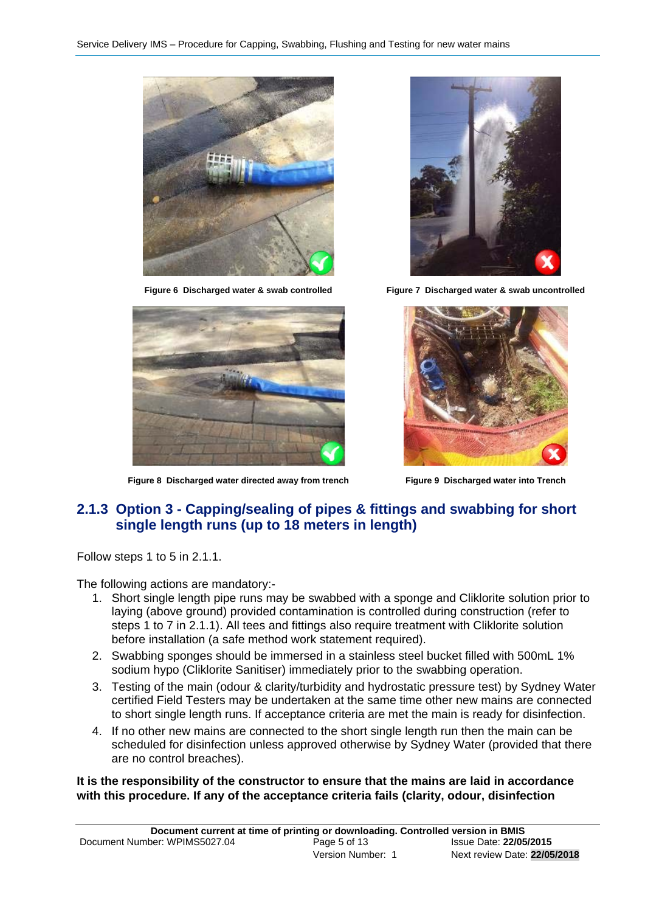



**Figure 6 Discharged water & swab controlled Figure 7 Discharged water & swab uncontrolled**



**Figure 8 Discharged water directed away from trench Figure 9 Discharged water into Trench**



### **2.1.3 Option 3 - Capping/sealing of pipes & fittings and swabbing for short single length runs (up to 18 meters in length)**

Follow steps 1 to 5 in 2.1.1.

The following actions are mandatory:-

- 1. Short single length pipe runs may be swabbed with a sponge and Cliklorite solution prior to laying (above ground) provided contamination is controlled during construction (refer to steps 1 to 7 in 2.1.1). All tees and fittings also require treatment with Cliklorite solution before installation (a safe method work statement required).
- 2. Swabbing sponges should be immersed in a stainless steel bucket filled with 500mL 1% sodium hypo (Cliklorite Sanitiser) immediately prior to the swabbing operation.
- 3. Testing of the main (odour & clarity/turbidity and hydrostatic pressure test) by Sydney Water certified Field Testers may be undertaken at the same time other new mains are connected to short single length runs. If acceptance criteria are met the main is ready for disinfection.
- 4. If no other new mains are connected to the short single length run then the main can be scheduled for disinfection unless approved otherwise by Sydney Water (provided that there are no control breaches).

**It is the responsibility of the constructor to ensure that the mains are laid in accordance with this procedure. If any of the acceptance criteria fails (clarity, odour, disinfection**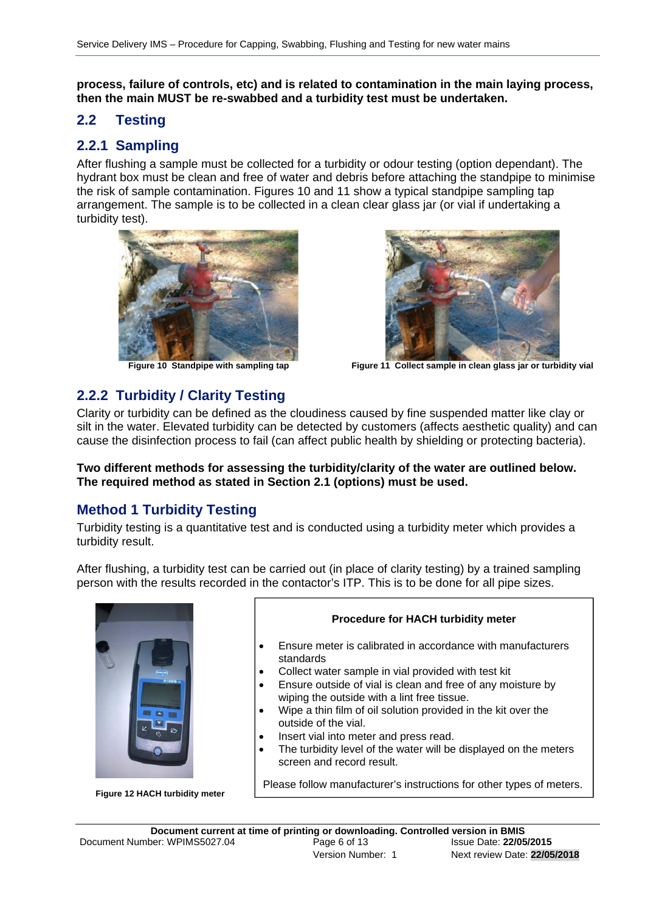**process, failure of controls, etc) and is related to contamination in the main laying process, then the main MUST be re-swabbed and a turbidity test must be undertaken.** 

### **2.2 Testing**

### **2.2.1 Sampling**

After flushing a sample must be collected for a turbidity or odour testing (option dependant). The hydrant box must be clean and free of water and debris before attaching the standpipe to minimise the risk of sample contamination. Figures 10 and 11 show a typical standpipe sampling tap arrangement. The sample is to be collected in a clean clear glass jar (or vial if undertaking a turbidity test).





**Figure 10 Standpipe with sampling tap Figure 11 Collect sample in clean glass jar or turbidity vial**

### **2.2.2 Turbidity / Clarity Testing**

Clarity or turbidity can be defined as the cloudiness caused by fine suspended matter like clay or silt in the water. Elevated turbidity can be detected by customers (affects aesthetic quality) and can cause the disinfection process to fail (can affect public health by shielding or protecting bacteria).

**Two different methods for assessing the turbidity/clarity of the water are outlined below. The required method as stated in Section 2.1 (options) must be used.** 

### **Method 1 Turbidity Testing**

Turbidity testing is a quantitative test and is conducted using a turbidity meter which provides a turbidity result.

After flushing, a turbidity test can be carried out (in place of clarity testing) by a trained sampling person with the results recorded in the contactor's ITP. This is to be done for all pipe sizes.



**Figure 12 HACH turbidity meter** 



- Ensure meter is calibrated in accordance with manufacturers standards
- Collect water sample in vial provided with test kit
- Ensure outside of vial is clean and free of any moisture by wiping the outside with a lint free tissue.
- Wipe a thin film of oil solution provided in the kit over the outside of the vial.
- Insert vial into meter and press read.
- The turbidity level of the water will be displayed on the meters screen and record result.

Please follow manufacturer's instructions for other types of meters.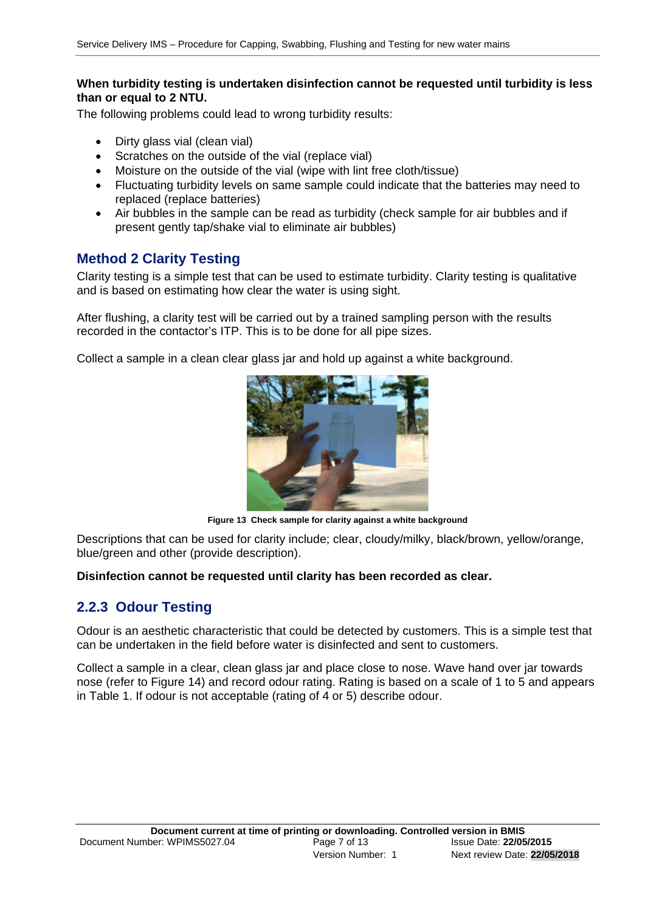### **When turbidity testing is undertaken disinfection cannot be requested until turbidity is less than or equal to 2 NTU.**

The following problems could lead to wrong turbidity results:

- Dirty glass vial (clean vial)
- Scratches on the outside of the vial (replace vial)
- Moisture on the outside of the vial (wipe with lint free cloth/tissue)
- Fluctuating turbidity levels on same sample could indicate that the batteries may need to replaced (replace batteries)
- Air bubbles in the sample can be read as turbidity (check sample for air bubbles and if present gently tap/shake vial to eliminate air bubbles)

### **Method 2 Clarity Testing**

Clarity testing is a simple test that can be used to estimate turbidity. Clarity testing is qualitative and is based on estimating how clear the water is using sight.

After flushing, a clarity test will be carried out by a trained sampling person with the results recorded in the contactor's ITP. This is to be done for all pipe sizes.

Collect a sample in a clean clear glass jar and hold up against a white background.



**Figure 13 Check sample for clarity against a white background**

Descriptions that can be used for clarity include; clear, cloudy/milky, black/brown, yellow/orange, blue/green and other (provide description).

#### **Disinfection cannot be requested until clarity has been recorded as clear.**

### **2.2.3 Odour Testing**

Odour is an aesthetic characteristic that could be detected by customers. This is a simple test that can be undertaken in the field before water is disinfected and sent to customers.

Collect a sample in a clear, clean glass jar and place close to nose. Wave hand over jar towards nose (refer to Figure 14) and record odour rating. Rating is based on a scale of 1 to 5 and appears in Table 1. If odour is not acceptable (rating of 4 or 5) describe odour.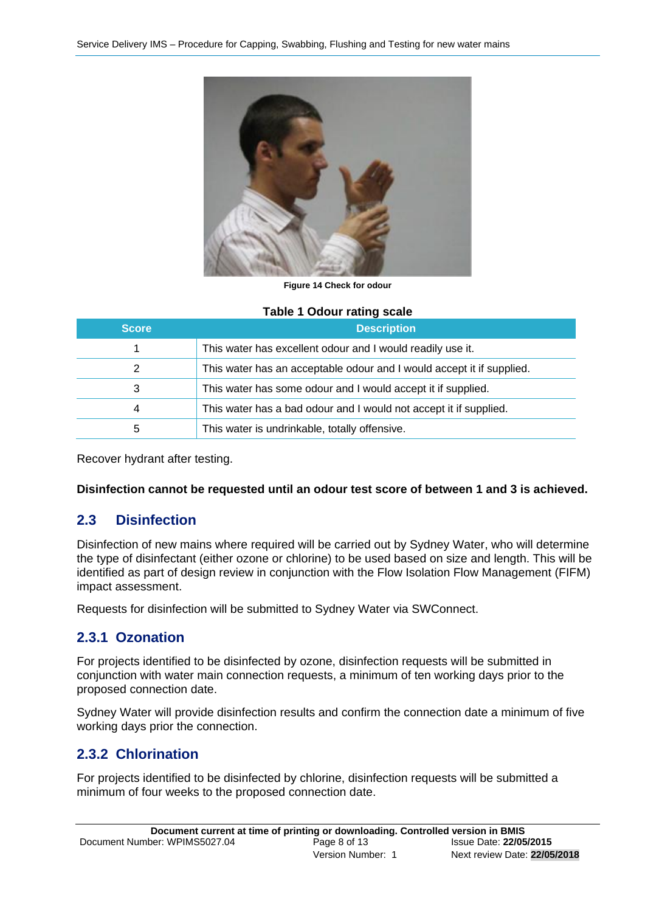

**Figure 14 Check for odour** 

#### **Table 1 Odour rating scale**

| <b>Score</b> | <b>Description</b>                                                    |
|--------------|-----------------------------------------------------------------------|
|              | This water has excellent odour and I would readily use it.            |
| 2            | This water has an acceptable odour and I would accept it if supplied. |
| 3            | This water has some odour and I would accept it if supplied.          |
| 4            | This water has a bad odour and I would not accept it if supplied.     |
| b            | This water is undrinkable, totally offensive.                         |

Recover hydrant after testing.

#### **Disinfection cannot be requested until an odour test score of between 1 and 3 is achieved.**

### **2.3 Disinfection**

Disinfection of new mains where required will be carried out by Sydney Water, who will determine the type of disinfectant (either ozone or chlorine) to be used based on size and length. This will be identified as part of design review in conjunction with the Flow Isolation Flow Management (FIFM) impact assessment.

Requests for disinfection will be submitted to Sydney Water via SWConnect.

### **2.3.1 Ozonation**

For projects identified to be disinfected by ozone, disinfection requests will be submitted in conjunction with water main connection requests, a minimum of ten working days prior to the proposed connection date.

Sydney Water will provide disinfection results and confirm the connection date a minimum of five working days prior the connection.

### **2.3.2 Chlorination**

For projects identified to be disinfected by chlorine, disinfection requests will be submitted a minimum of four weeks to the proposed connection date.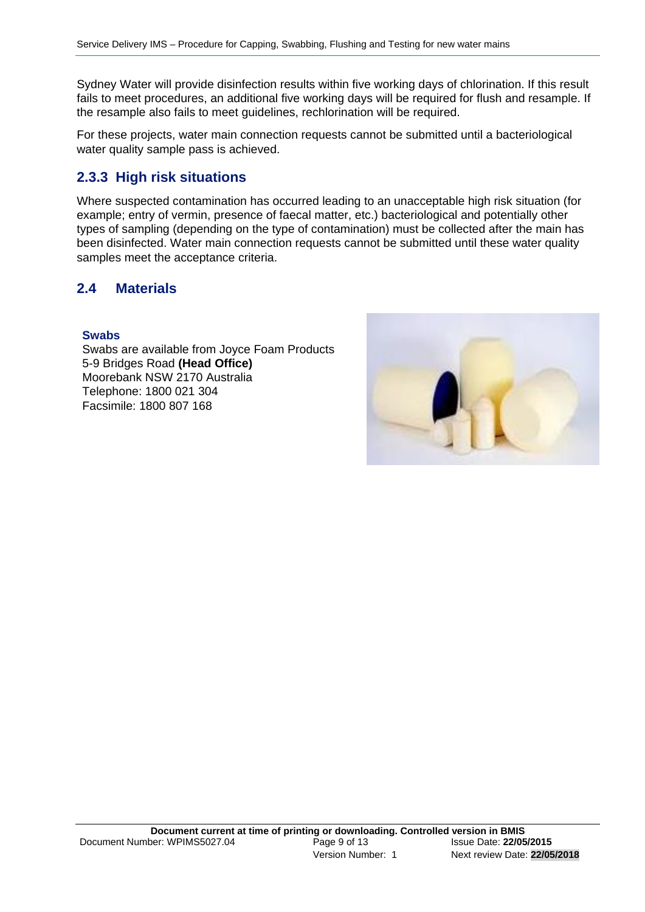Sydney Water will provide disinfection results within five working days of chlorination. If this result fails to meet procedures, an additional five working days will be required for flush and resample. If the resample also fails to meet guidelines, rechlorination will be required.

For these projects, water main connection requests cannot be submitted until a bacteriological water quality sample pass is achieved.

### **2.3.3 High risk situations**

Where suspected contamination has occurred leading to an unacceptable high risk situation (for example; entry of vermin, presence of faecal matter, etc.) bacteriological and potentially other types of sampling (depending on the type of contamination) must be collected after the main has been disinfected. Water main connection requests cannot be submitted until these water quality samples meet the acceptance criteria.

### **2.4 Materials**

#### **Swabs**

Swabs are available from Joyce Foam Products 5-9 Bridges Road **(Head Office)** Moorebank NSW 2170 Australia Telephone: 1800 021 304 Facsimile: 1800 807 168

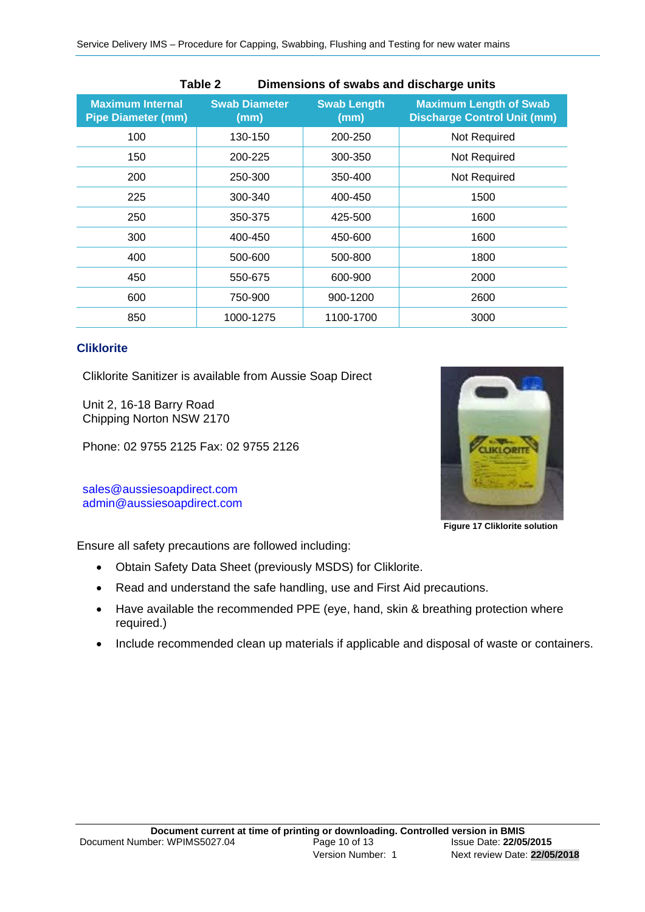| Table 2<br>Dimensions of swabs and discharge units   |                              |                            |                                                                     |  |
|------------------------------------------------------|------------------------------|----------------------------|---------------------------------------------------------------------|--|
| <b>Maximum Internal</b><br><b>Pipe Diameter (mm)</b> | <b>Swab Diameter</b><br>(mm) | <b>Swab Length</b><br>(mm) | <b>Maximum Length of Swab</b><br><b>Discharge Control Unit (mm)</b> |  |
| 100                                                  | 130-150                      | 200-250                    | Not Required                                                        |  |
| 150                                                  | 200-225                      | 300-350                    | Not Required                                                        |  |
| 200                                                  | 250-300                      | 350-400                    | Not Required                                                        |  |
| 225                                                  | 300-340                      | 400-450                    | 1500                                                                |  |
| 250                                                  | 350-375                      | 425-500                    | 1600                                                                |  |
| 300                                                  | 400-450                      | 450-600                    | 1600                                                                |  |
| 400                                                  | 500-600                      | 500-800                    | 1800                                                                |  |
| 450                                                  | 550-675                      | 600-900                    | 2000                                                                |  |
| 600                                                  | 750-900                      | 900-1200                   | 2600                                                                |  |
| 850                                                  | 1000-1275                    | 1100-1700                  | 3000                                                                |  |

#### **Cliklorite**

Cliklorite Sanitizer is available from Aussie Soap Direct

Unit 2, 16-18 Barry Road Chipping Norton NSW 2170

Phone: 02 9755 2125 Fax: 02 9755 2126

sales@aussiesoapdirect.com admin@aussiesoapdirect.com



**Figure 17 Cliklorite solution** 

Ensure all safety precautions are followed including:

- Obtain Safety Data Sheet (previously MSDS) for Cliklorite.
- Read and understand the safe handling, use and First Aid precautions.
- Have available the recommended PPE (eye, hand, skin & breathing protection where required.)
- Include recommended clean up materials if applicable and disposal of waste or containers.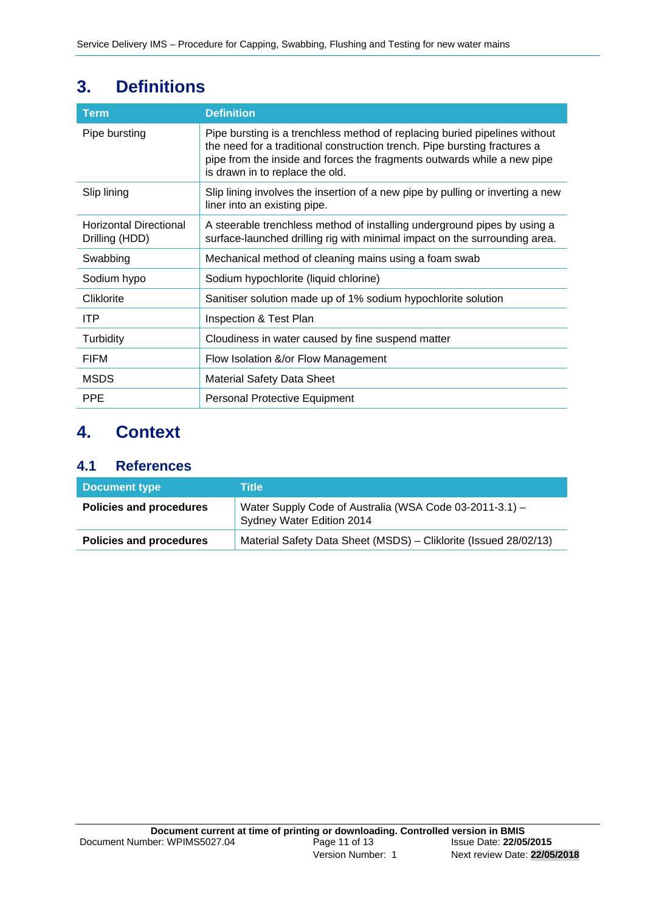| <b>Term</b>                                     | <b>Definition</b>                                                                                                                                                                                                                                                     |
|-------------------------------------------------|-----------------------------------------------------------------------------------------------------------------------------------------------------------------------------------------------------------------------------------------------------------------------|
| Pipe bursting                                   | Pipe bursting is a trenchless method of replacing buried pipelines without<br>the need for a traditional construction trench. Pipe bursting fractures a<br>pipe from the inside and forces the fragments outwards while a new pipe<br>is drawn in to replace the old. |
| Slip lining                                     | Slip lining involves the insertion of a new pipe by pulling or inverting a new<br>liner into an existing pipe.                                                                                                                                                        |
| <b>Horizontal Directional</b><br>Drilling (HDD) | A steerable trenchless method of installing underground pipes by using a<br>surface-launched drilling rig with minimal impact on the surrounding area.                                                                                                                |
| Swabbing                                        | Mechanical method of cleaning mains using a foam swab                                                                                                                                                                                                                 |
| Sodium hypo                                     | Sodium hypochlorite (liquid chlorine)                                                                                                                                                                                                                                 |
| Cliklorite                                      | Sanitiser solution made up of 1% sodium hypochlorite solution                                                                                                                                                                                                         |
| ITP                                             | Inspection & Test Plan                                                                                                                                                                                                                                                |
| Turbidity                                       | Cloudiness in water caused by fine suspend matter                                                                                                                                                                                                                     |
| <b>FIFM</b>                                     | Flow Isolation &/or Flow Management                                                                                                                                                                                                                                   |
| <b>MSDS</b>                                     | <b>Material Safety Data Sheet</b>                                                                                                                                                                                                                                     |
| <b>PPE</b>                                      | Personal Protective Equipment                                                                                                                                                                                                                                         |

# **3. Definitions**

# **4. Context**

### **4.1 References**

| Document type                  | Title                                                                                |
|--------------------------------|--------------------------------------------------------------------------------------|
| <b>Policies and procedures</b> | Water Supply Code of Australia (WSA Code 03-2011-3.1) -<br>Sydney Water Edition 2014 |
| <b>Policies and procedures</b> | Material Safety Data Sheet (MSDS) - Cliklorite (Issued 28/02/13)                     |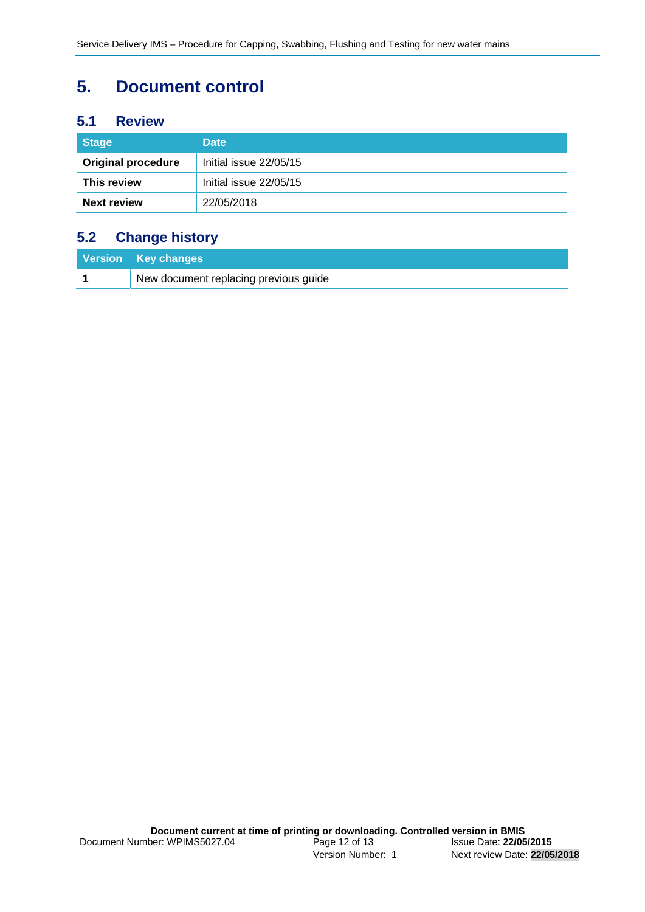# **5. Document control**

### **5.1 Review**

| <b>Stage</b>              | <b>Date</b>            |
|---------------------------|------------------------|
| <b>Original procedure</b> | Initial issue 22/05/15 |
| This review               | Initial issue 22/05/15 |
| <b>Next review</b>        | 22/05/2018             |

## **5.2 Change history**

| Version Key changes                   |
|---------------------------------------|
| New document replacing previous guide |